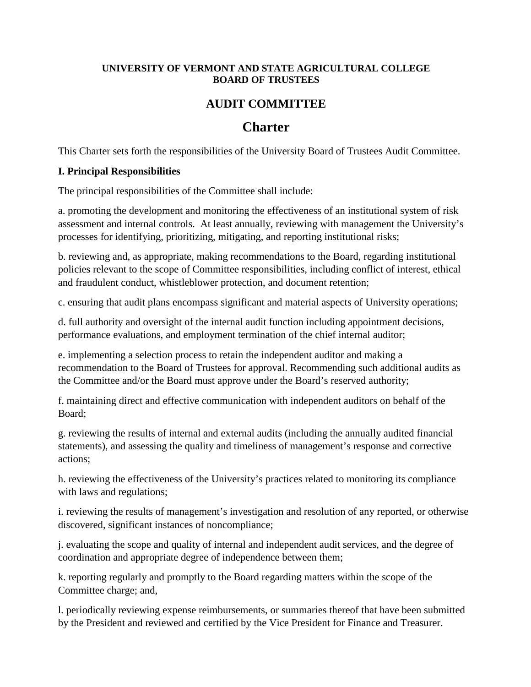#### **UNIVERSITY OF VERMONT AND STATE AGRICULTURAL COLLEGE BOARD OF TRUSTEES**

## **AUDIT COMMITTEE**

# **Charter**

This Charter sets forth the responsibilities of the University Board of Trustees Audit Committee.

#### **I. Principal Responsibilities**

The principal responsibilities of the Committee shall include:

a. promoting the development and monitoring the effectiveness of an institutional system of risk assessment and internal controls. At least annually, reviewing with management the University's processes for identifying, prioritizing, mitigating, and reporting institutional risks;

b. reviewing and, as appropriate, making recommendations to the Board, regarding institutional policies relevant to the scope of Committee responsibilities, including conflict of interest, ethical and fraudulent conduct, whistleblower protection, and document retention;

c. ensuring that audit plans encompass significant and material aspects of University operations;

d. full authority and oversight of the internal audit function including appointment decisions, performance evaluations, and employment termination of the chief internal auditor;

e. implementing a selection process to retain the independent auditor and making a recommendation to the Board of Trustees for approval. Recommending such additional audits as the Committee and/or the Board must approve under the Board's reserved authority;

f. maintaining direct and effective communication with independent auditors on behalf of the Board;

g. reviewing the results of internal and external audits (including the annually audited financial statements), and assessing the quality and timeliness of management's response and corrective actions;

h. reviewing the effectiveness of the University's practices related to monitoring its compliance with laws and regulations;

i. reviewing the results of management's investigation and resolution of any reported, or otherwise discovered, significant instances of noncompliance;

j. evaluating the scope and quality of internal and independent audit services, and the degree of coordination and appropriate degree of independence between them;

k. reporting regularly and promptly to the Board regarding matters within the scope of the Committee charge; and,

l. periodically reviewing expense reimbursements, or summaries thereof that have been submitted by the President and reviewed and certified by the Vice President for Finance and Treasurer.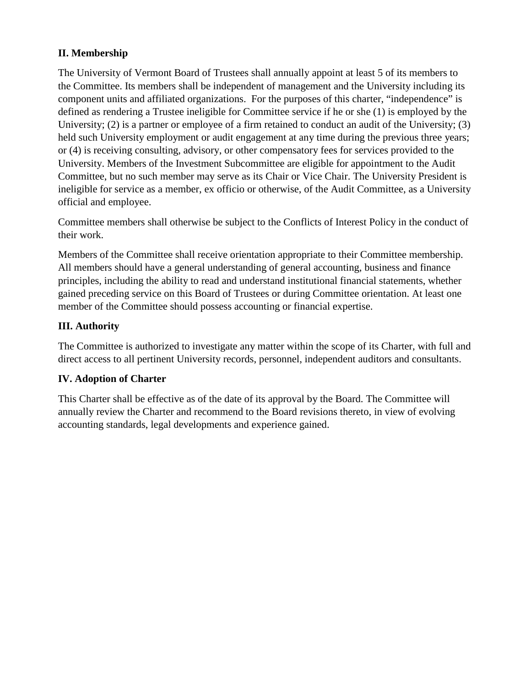## **II. Membership**

The University of Vermont Board of Trustees shall annually appoint at least 5 of its members to the Committee. Its members shall be independent of management and the University including its component units and affiliated organizations. For the purposes of this charter, "independence" is defined as rendering a Trustee ineligible for Committee service if he or she (1) is employed by the University; (2) is a partner or employee of a firm retained to conduct an audit of the University; (3) held such University employment or audit engagement at any time during the previous three years; or (4) is receiving consulting, advisory, or other compensatory fees for services provided to the University. Members of the Investment Subcommittee are eligible for appointment to the Audit Committee, but no such member may serve as its Chair or Vice Chair. The University President is ineligible for service as a member, ex officio or otherwise, of the Audit Committee, as a University official and employee.

Committee members shall otherwise be subject to the Conflicts of Interest Policy in the conduct of their work.

Members of the Committee shall receive orientation appropriate to their Committee membership. All members should have a general understanding of general accounting, business and finance principles, including the ability to read and understand institutional financial statements, whether gained preceding service on this Board of Trustees or during Committee orientation. At least one member of the Committee should possess accounting or financial expertise.

## **III. Authority**

The Committee is authorized to investigate any matter within the scope of its Charter, with full and direct access to all pertinent University records, personnel, independent auditors and consultants.

### **IV. Adoption of Charter**

This Charter shall be effective as of the date of its approval by the Board. The Committee will annually review the Charter and recommend to the Board revisions thereto, in view of evolving accounting standards, legal developments and experience gained.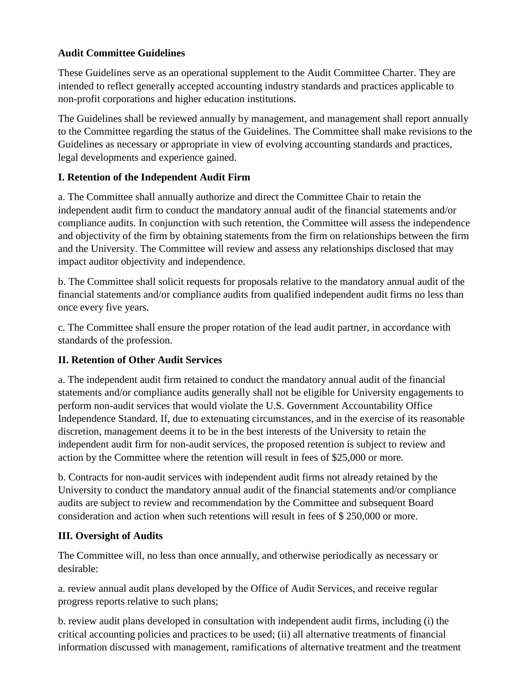#### **Audit Committee Guidelines**

These Guidelines serve as an operational supplement to the Audit Committee Charter. They are intended to reflect generally accepted accounting industry standards and practices applicable to non-profit corporations and higher education institutions.

The Guidelines shall be reviewed annually by management, and management shall report annually to the Committee regarding the status of the Guidelines. The Committee shall make revisions to the Guidelines as necessary or appropriate in view of evolving accounting standards and practices, legal developments and experience gained.

### **I. Retention of the Independent Audit Firm**

a. The Committee shall annually authorize and direct the Committee Chair to retain the independent audit firm to conduct the mandatory annual audit of the financial statements and/or compliance audits. In conjunction with such retention, the Committee will assess the independence and objectivity of the firm by obtaining statements from the firm on relationships between the firm and the University. The Committee will review and assess any relationships disclosed that may impact auditor objectivity and independence.

b. The Committee shall solicit requests for proposals relative to the mandatory annual audit of the financial statements and/or compliance audits from qualified independent audit firms no less than once every five years.

c. The Committee shall ensure the proper rotation of the lead audit partner, in accordance with standards of the profession.

### **II. Retention of Other Audit Services**

a. The independent audit firm retained to conduct the mandatory annual audit of the financial statements and/or compliance audits generally shall not be eligible for University engagements to perform non-audit services that would violate the U.S. Government Accountability Office Independence Standard. If, due to extenuating circumstances, and in the exercise of its reasonable discretion, management deems it to be in the best interests of the University to retain the independent audit firm for non-audit services, the proposed retention is subject to review and action by the Committee where the retention will result in fees of \$25,000 or more.

b. Contracts for non-audit services with independent audit firms not already retained by the University to conduct the mandatory annual audit of the financial statements and/or compliance audits are subject to review and recommendation by the Committee and subsequent Board consideration and action when such retentions will result in fees of \$ 250,000 or more.

### **III. Oversight of Audits**

The Committee will, no less than once annually, and otherwise periodically as necessary or desirable:

a. review annual audit plans developed by the Office of Audit Services, and receive regular progress reports relative to such plans;

b. review audit plans developed in consultation with independent audit firms, including (i) the critical accounting policies and practices to be used; (ii) all alternative treatments of financial information discussed with management, ramifications of alternative treatment and the treatment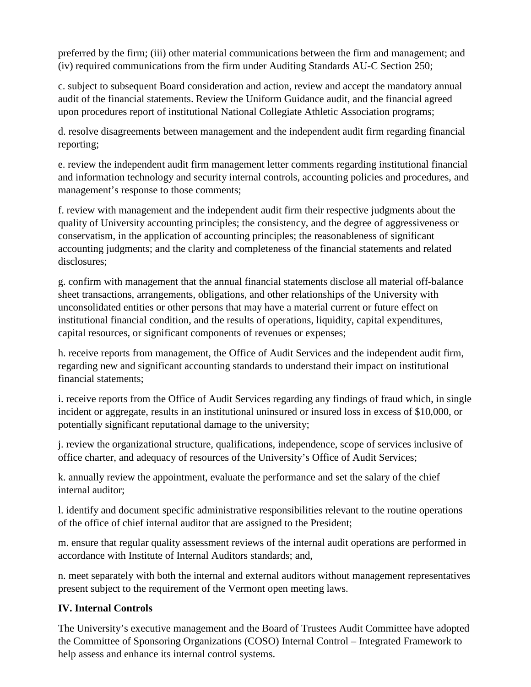preferred by the firm; (iii) other material communications between the firm and management; and (iv) required communications from the firm under Auditing Standards AU-C Section 250;

c. subject to subsequent Board consideration and action, review and accept the mandatory annual audit of the financial statements. Review the Uniform Guidance audit, and the financial agreed upon procedures report of institutional National Collegiate Athletic Association programs;

d. resolve disagreements between management and the independent audit firm regarding financial reporting;

e. review the independent audit firm management letter comments regarding institutional financial and information technology and security internal controls, accounting policies and procedures, and management's response to those comments;

f. review with management and the independent audit firm their respective judgments about the quality of University accounting principles; the consistency, and the degree of aggressiveness or conservatism, in the application of accounting principles; the reasonableness of significant accounting judgments; and the clarity and completeness of the financial statements and related disclosures;

g. confirm with management that the annual financial statements disclose all material off-balance sheet transactions, arrangements, obligations, and other relationships of the University with unconsolidated entities or other persons that may have a material current or future effect on institutional financial condition, and the results of operations, liquidity, capital expenditures, capital resources, or significant components of revenues or expenses;

h. receive reports from management, the Office of Audit Services and the independent audit firm, regarding new and significant accounting standards to understand their impact on institutional financial statements;

i. receive reports from the Office of Audit Services regarding any findings of fraud which, in single incident or aggregate, results in an institutional uninsured or insured loss in excess of \$10,000, or potentially significant reputational damage to the university;

j. review the organizational structure, qualifications, independence, scope of services inclusive of office charter, and adequacy of resources of the University's Office of Audit Services;

k. annually review the appointment, evaluate the performance and set the salary of the chief internal auditor;

l. identify and document specific administrative responsibilities relevant to the routine operations of the office of chief internal auditor that are assigned to the President;

m. ensure that regular quality assessment reviews of the internal audit operations are performed in accordance with Institute of Internal Auditors standards; and,

n. meet separately with both the internal and external auditors without management representatives present subject to the requirement of the Vermont open meeting laws.

### **IV. Internal Controls**

The University's executive management and the Board of Trustees Audit Committee have adopted the Committee of Sponsoring Organizations (COSO) Internal Control – Integrated Framework to help assess and enhance its internal control systems.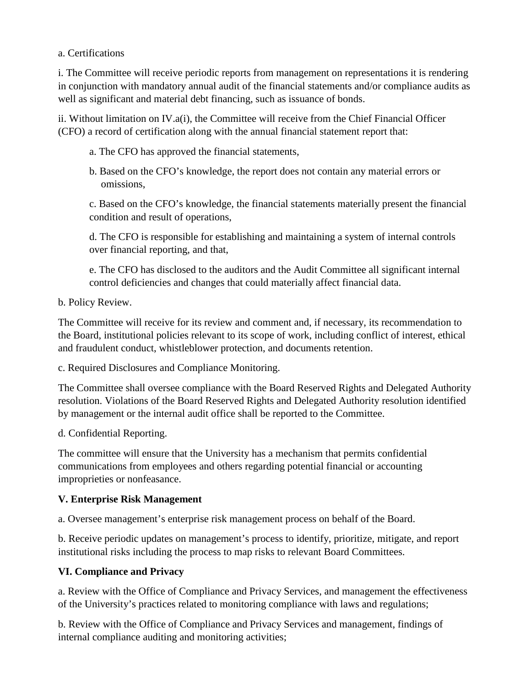#### a. Certifications

i. The Committee will receive periodic reports from management on representations it is rendering in conjunction with mandatory annual audit of the financial statements and/or compliance audits as well as significant and material debt financing, such as issuance of bonds.

ii. Without limitation on IV.a(i), the Committee will receive from the Chief Financial Officer (CFO) a record of certification along with the annual financial statement report that:

- a. The CFO has approved the financial statements,
- b. Based on the CFO's knowledge, the report does not contain any material errors or omissions,

c. Based on the CFO's knowledge, the financial statements materially present the financial condition and result of operations,

d. The CFO is responsible for establishing and maintaining a system of internal controls over financial reporting, and that,

e. The CFO has disclosed to the auditors and the Audit Committee all significant internal control deficiencies and changes that could materially affect financial data.

b. Policy Review.

The Committee will receive for its review and comment and, if necessary, its recommendation to the Board, institutional policies relevant to its scope of work, including conflict of interest, ethical and fraudulent conduct, whistleblower protection, and documents retention.

c. Required Disclosures and Compliance Monitoring.

The Committee shall oversee compliance with the Board Reserved Rights and Delegated Authority resolution. Violations of the Board Reserved Rights and Delegated Authority resolution identified by management or the internal audit office shall be reported to the Committee.

d. Confidential Reporting.

The committee will ensure that the University has a mechanism that permits confidential communications from employees and others regarding potential financial or accounting improprieties or nonfeasance.

### **V. Enterprise Risk Management**

a. Oversee management's enterprise risk management process on behalf of the Board.

b. Receive periodic updates on management's process to identify, prioritize, mitigate, and report institutional risks including the process to map risks to relevant Board Committees.

### **VI. Compliance and Privacy**

a. Review with the Office of Compliance and Privacy Services, and management the effectiveness of the University's practices related to monitoring compliance with laws and regulations;

b. Review with the Office of Compliance and Privacy Services and management, findings of internal compliance auditing and monitoring activities;